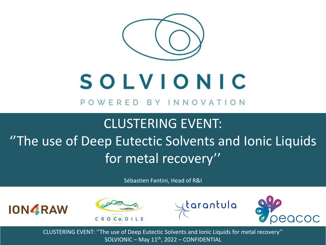

# SOLVIONIC

POWERED BY INNOVATION

## CLUSTERING EVENT: ''The use of Deep Eutectic Solvents and Ionic Liquids for metal recovery''

Sébastien Fantini, Head of R&I







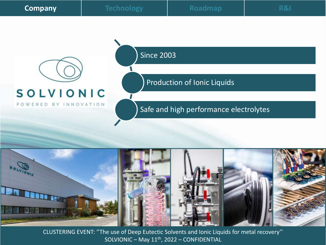| <b>Company</b> |
|----------------|
|                |



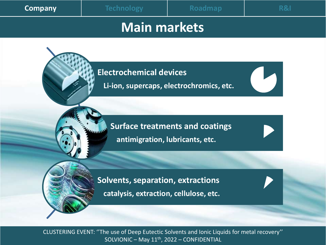| Company |
|---------|
|         |

#### **Main markets**

**Electrochemical devices**

**Li-ion, supercaps, electrochromics, etc.**

**Surface treatments and coatings antimigration, lubricants, etc.**

**Solvents, separation, extractions catalysis, extraction, cellulose, etc.**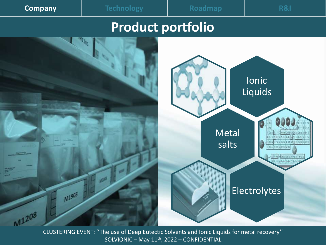| <b>Company</b> |
|----------------|
|                |
|                |

**Company Technology Roadmap R&I**

#### **Product portfolio**

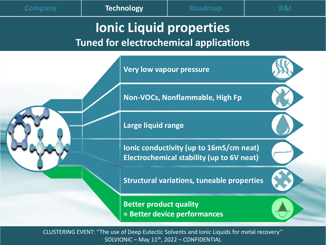#### **Ionic Liquid properties Tuned for electrochemical applications**

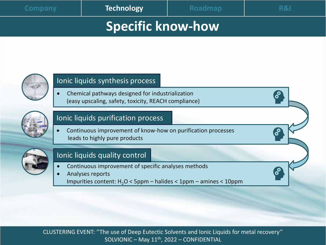### **Specific know-how**



#### Ionic liquids synthesis process

• Chemical pathways designed for industrialization (easy upscaling, safety, toxicity, REACH compliance)



#### Ionic liquids purification process

• Continuous improvement of know-how on purification processes leads to highly pure products



#### Ionic liquids quality control

- Continuous improvement of specific analyses methods
- Analyses reports Impurities content:  $H_2O < 5$ ppm – halides < 1ppm – amines < 10ppm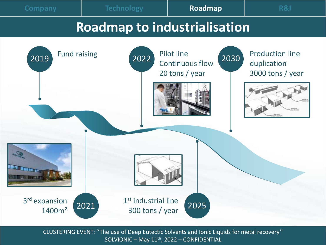**Company Technology Roadmap R&I**

#### **Roadmap to industrialisation**

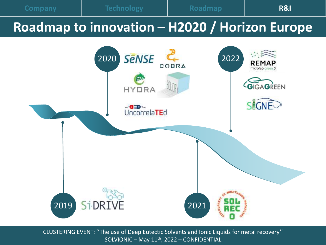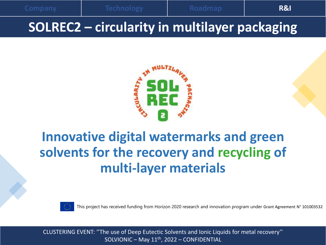**Company Technology Roadmap R&I**



## **Innovative digital watermarks and green solvents for the recovery and recycling of multi-layer materials**



This project has received funding from Horizon 2020 research and innovation program under Grant Agreement N° 101003532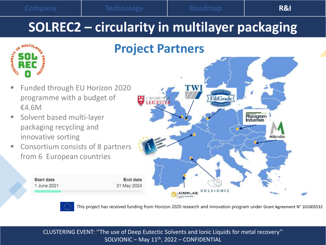**ULARTY** 

## **SOLREC2 – circularity in multilayer packaging**





- Solvent based multi-layer packaging recycling and innovative sorting
- Consortium consists of 8 partners from 6 European countries







This project has received funding from Horizon 2020 research and innovation program under Grant Agreement N° 101003532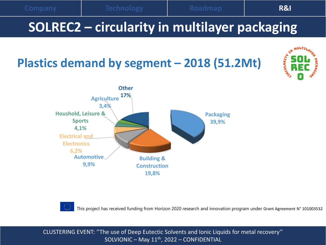





This project has received funding from Horizon 2020 research and innovation program under Grant Agreement N° 101003532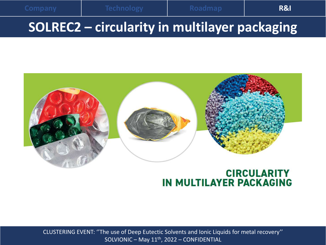

#### **CIRCULARITY IN MULTILAYER PACKAGING**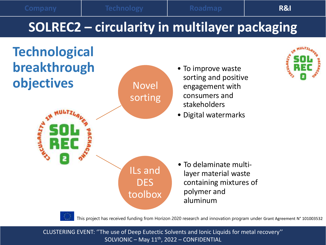



This project has received funding from Horizon 2020 research and innovation program under Grant Agreement N° 101003532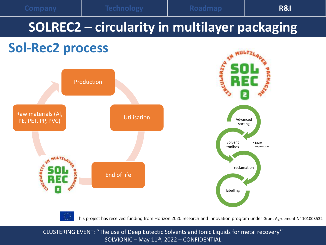

## **SOLREC2 – circularity in multilayer packaging**

### **Sol-Rec2 process**



This project has received funding from Horizon 2020 research and innovation program under Grant Agreement N° 101003532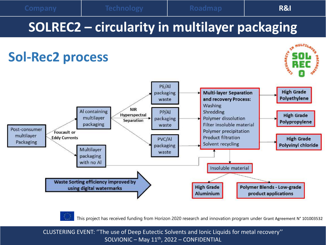

This project has received funding from Horizon 2020 research and innovation program under Grant Agreement N° 101003532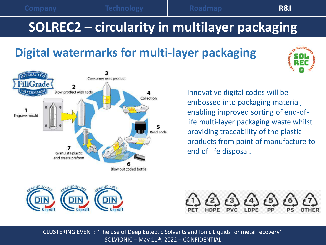## **SOLREC2 – circularity in multilayer packaging**

### **Digital watermarks for multi-layer packaging**





Innovative digital codes will be embossed into packaging material, enabling improved sorting of end-oflife multi-layer packaging waste whilst providing traceability of the plastic products from point of manufacture to end of life disposal.